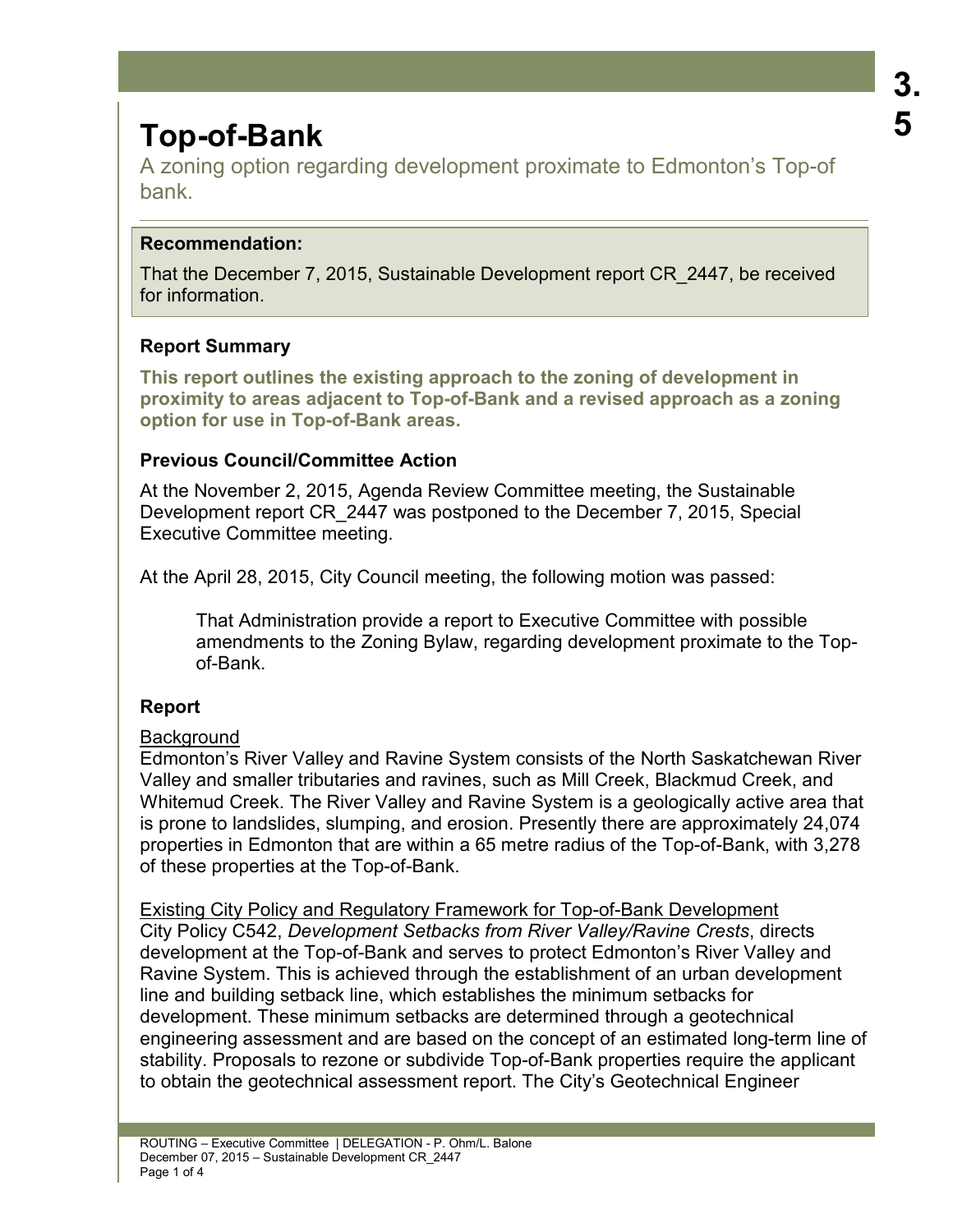# **Top-of-Bank**

A zoning option regarding development proximate to Edmonton's Top-of bank.

## **Recommendation:**

That the December 7, 2015, Sustainable Development report CR\_2447, be received for information.

# **Report Summary**

**This report outlines the existing approach to the zoning of development in proximity to areas adjacent to Top-of-Bank and a revised approach as a zoning option for use in Top-of-Bank areas.** 

## **Previous Council/Committee Action**

At the November 2, 2015, Agenda Review Committee meeting, the Sustainable Development report CR\_2447 was postponed to the December 7, 2015, Special Executive Committee meeting.

At the April 28, 2015, City Council meeting, the following motion was passed:

That Administration provide a report to Executive Committee with possible amendments to the Zoning Bylaw, regarding development proximate to the Topof-Bank.

# **Report**

## **Background**

Edmonton's River Valley and Ravine System consists of the North Saskatchewan River Valley and smaller tributaries and ravines, such as Mill Creek, Blackmud Creek, and Whitemud Creek. The River Valley and Ravine System is a geologically active area that is prone to landslides, slumping, and erosion. Presently there are approximately 24,074 properties in Edmonton that are within a 65 metre radius of the Top-of-Bank, with 3,278 of these properties at the Top-of-Bank.

Existing City Policy and Regulatory Framework for Top-of-Bank Development City Policy C542, *Development Setbacks from River Valley/Ravine Crests*, directs development at the Top-of-Bank and serves to protect Edmonton's River Valley and Ravine System. This is achieved through the establishment of an urban development line and building setback line, which establishes the minimum setbacks for development. These minimum setbacks are determined through a geotechnical engineering assessment and are based on the concept of an estimated long-term line of stability. Proposals to rezone or subdivide Top-of-Bank properties require the applicant to obtain the geotechnical assessment report. The City's Geotechnical Engineer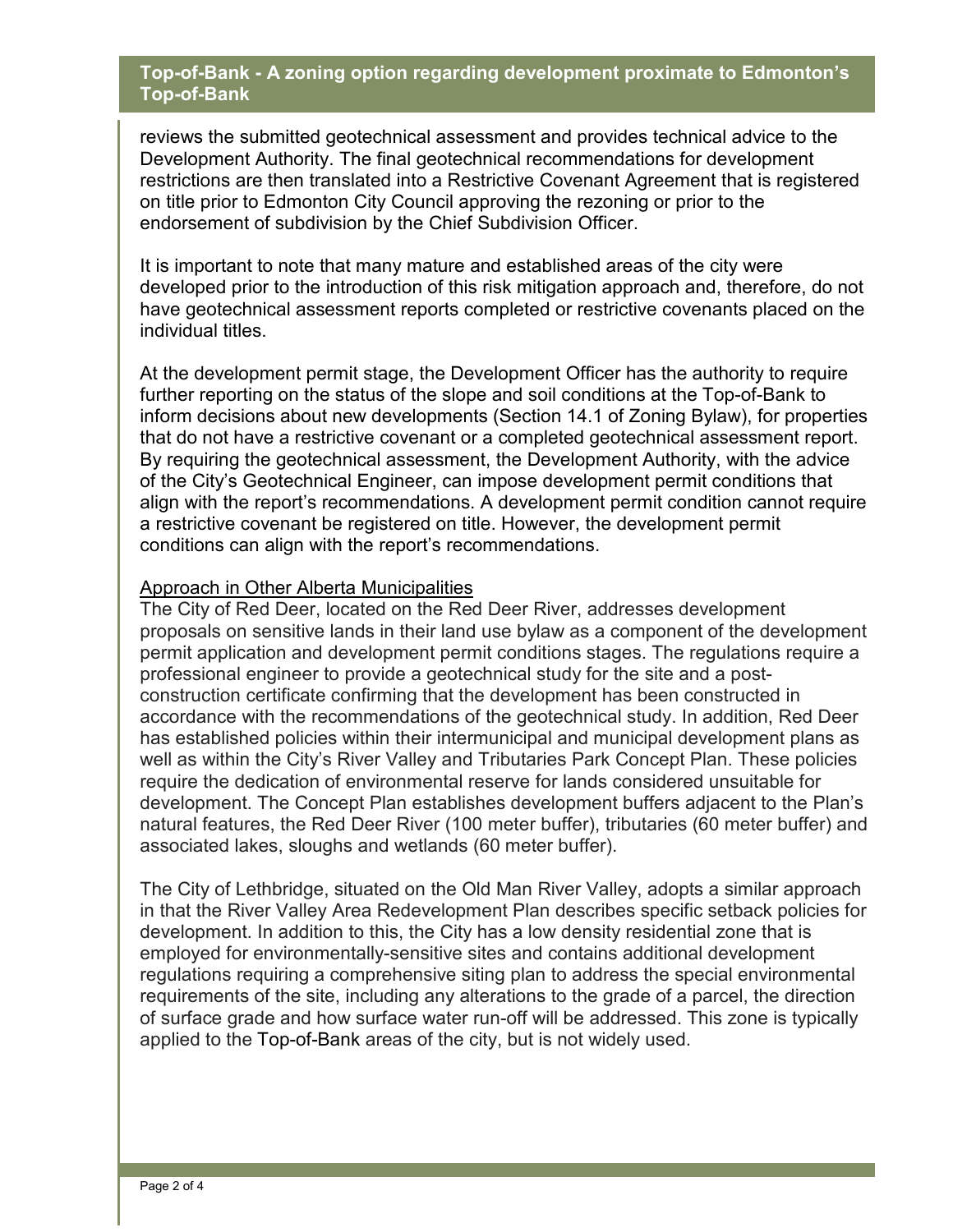#### **Top-of-Bank - A zoning option regarding development proximate to Edmonton's Top-of-Bank**

reviews the submitted geotechnical assessment and provides technical advice to the Development Authority. The final geotechnical recommendations for development restrictions are then translated into a Restrictive Covenant Agreement that is registered on title prior to Edmonton City Council approving the rezoning or prior to the endorsement of subdivision by the Chief Subdivision Officer.

It is important to note that many mature and established areas of the city were developed prior to the introduction of this risk mitigation approach and, therefore, do not have geotechnical assessment reports completed or restrictive covenants placed on the individual titles.

At the development permit stage, the Development Officer has the authority to require further reporting on the status of the slope and soil conditions at the Top-of-Bank to inform decisions about new developments (Section 14.1 of Zoning Bylaw), for properties that do not have a restrictive covenant or a completed geotechnical assessment report. By requiring the geotechnical assessment, the Development Authority, with the advice of the City's Geotechnical Engineer, can impose development permit conditions that align with the report's recommendations. A development permit condition cannot require a restrictive covenant be registered on title. However, the development permit conditions can align with the report's recommendations.

#### Approach in Other Alberta Municipalities

The City of Red Deer, located on the Red Deer River, addresses development proposals on sensitive lands in their land use bylaw as a component of the development permit application and development permit conditions stages. The regulations require a professional engineer to provide a geotechnical study for the site and a postconstruction certificate confirming that the development has been constructed in accordance with the recommendations of the geotechnical study. In addition, Red Deer has established policies within their intermunicipal and municipal development plans as well as within the City's River Valley and Tributaries Park Concept Plan. These policies require the dedication of environmental reserve for lands considered unsuitable for development. The Concept Plan establishes development buffers adjacent to the Plan's natural features, the Red Deer River (100 meter buffer), tributaries (60 meter buffer) and associated lakes, sloughs and wetlands (60 meter buffer).

The City of Lethbridge, situated on the Old Man River Valley, adopts a similar approach in that the River Valley Area Redevelopment Plan describes specific setback policies for development. In addition to this, the City has a low density residential zone that is employed for environmentally-sensitive sites and contains additional development regulations requiring a comprehensive siting plan to address the special environmental requirements of the site, including any alterations to the grade of a parcel, the direction of surface grade and how surface water run-off will be addressed. This zone is typically applied to the Top-of-Bank areas of the city, but is not widely used.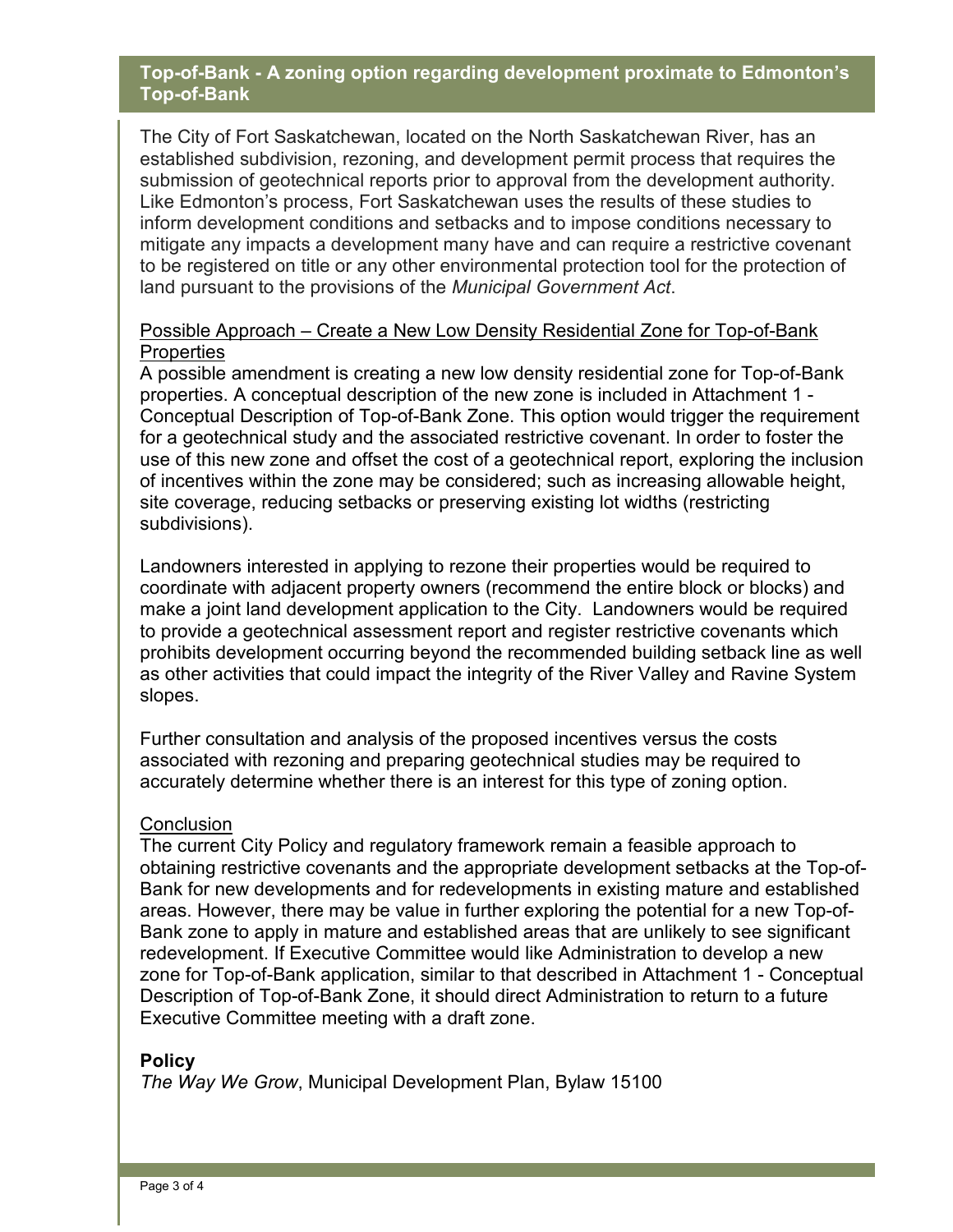#### **Top-of-Bank - A zoning option regarding development proximate to Edmonton's Top-of-Bank**

The City of Fort Saskatchewan, located on the North Saskatchewan River, has an established subdivision, rezoning, and development permit process that requires the submission of geotechnical reports prior to approval from the development authority. Like Edmonton's process, Fort Saskatchewan uses the results of these studies to inform development conditions and setbacks and to impose conditions necessary to mitigate any impacts a development many have and can require a restrictive covenant to be registered on title or any other environmental protection tool for the protection of land pursuant to the provisions of the *Municipal Government Act*.

#### Possible Approach – Create a New Low Density Residential Zone for Top-of-Bank **Properties**

A possible amendment is creating a new low density residential zone for Top-of-Bank properties. A conceptual description of the new zone is included in Attachment 1 - Conceptual Description of Top-of-Bank Zone. This option would trigger the requirement for a geotechnical study and the associated restrictive covenant. In order to foster the use of this new zone and offset the cost of a geotechnical report, exploring the inclusion of incentives within the zone may be considered; such as increasing allowable height, site coverage, reducing setbacks or preserving existing lot widths (restricting subdivisions).

Landowners interested in applying to rezone their properties would be required to coordinate with adjacent property owners (recommend the entire block or blocks) and make a joint land development application to the City. Landowners would be required to provide a geotechnical assessment report and register restrictive covenants which prohibits development occurring beyond the recommended building setback line as well as other activities that could impact the integrity of the River Valley and Ravine System slopes.

Further consultation and analysis of the proposed incentives versus the costs associated with rezoning and preparing geotechnical studies may be required to accurately determine whether there is an interest for this type of zoning option.

#### **Conclusion**

The current City Policy and regulatory framework remain a feasible approach to obtaining restrictive covenants and the appropriate development setbacks at the Top-of-Bank for new developments and for redevelopments in existing mature and established areas. However, there may be value in further exploring the potential for a new Top-of-Bank zone to apply in mature and established areas that are unlikely to see significant redevelopment. If Executive Committee would like Administration to develop a new zone for Top-of-Bank application, similar to that described in Attachment 1 - Conceptual Description of Top-of-Bank Zone, it should direct Administration to return to a future Executive Committee meeting with a draft zone.

#### **Policy**

*The Way We Grow*, Municipal Development Plan, Bylaw 15100